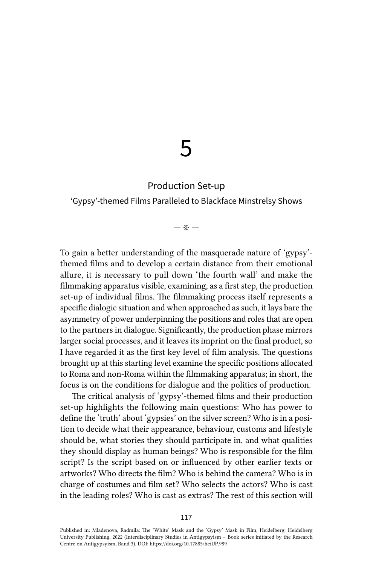# 5

# Production Set-up

## 'Gypsy'-themed Films Paralleled to Blackface Minstrelsy Shows

## — ※ —

To gain a better understanding of the masquerade nature of 'gypsy' themed films and to develop a certain distance from their emotional allure, it is necessary to pull down 'the fourth wall' and make the filmmaking apparatus visible, examining, as a first step, the production set-up of individual films. The filmmaking process itself represents a specific dialogic situation and when approached as such, it lays bare the asymmetry of power underpinning the positions and roles that are open to the partners in dialogue. Significantly, the production phase mirrors larger social processes, and it leaves its imprint on the final product, so I have regarded it as the first key level of film analysis. The questions brought up at this starting level examine the specific positions allocated to Roma and non-Roma within the filmmaking apparatus; in short, the focus is on the conditions for dialogue and the politics of production.

The critical analysis of 'gypsy'-themed films and their production set-up highlights the following main questions: Who has power to define the 'truth' about 'gypsies' on the silver screen? Who is in a position to decide what their appearance, behaviour, customs and lifestyle should be, what stories they should participate in, and what qualities they should display as human beings? Who is responsible for the film script? Is the script based on or influenced by other earlier texts or artworks? Who directs the film? Who is behind the camera? Who is in charge of costumes and film set? Who selects the actors? Who is cast in the leading roles? Who is cast as extras? The rest of this section will

Published in: Mladenova, Radmila: The 'White' Mask and the 'Gypsy' Mask in Film, Heidelberg: Heidelberg University Publishing, 2022 (Interdisciplinary Studies in Antigypsyism – Book series initiated by the Research Centre on Antigypsyism, Band 3). DOI:<https://doi.org/10.17885/heiUP.989>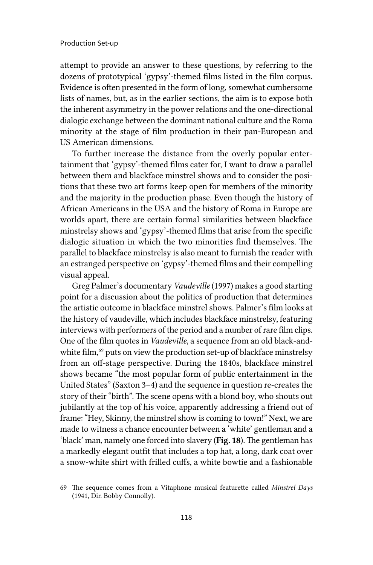attempt to provide an answer to these questions, by referring to the dozens of prototypical 'gypsy'-themed films listed in the film corpus. Evidence is often presented in the form of long, somewhat cumbersome lists of names, but, as in the earlier sections, the aim is to expose both the inherent asymmetry in the power relations and the one-directional dialogic exchange between the dominant national culture and the Roma minority at the stage of film production in their pan-European and US American dimensions.

To further increase the distance from the overly popular entertainment that 'gypsy'-themed films cater for, I want to draw a parallel between them and blackface minstrel shows and to consider the positions that these two art forms keep open for members of the minority and the majority in the production phase. Even though the history of African Americans in the USA and the history of Roma in Europe are worlds apart, there are certain formal similarities between blackface minstrelsy shows and 'gypsy'-themed films that arise from the specific dialogic situation in which the two minorities find themselves. The parallel to blackface minstrelsy is also meant to furnish the reader with an estranged perspective on 'gypsy'-themed films and their compelling visual appeal.

Greg Palmer's documentary *Vaudeville* (1997) makes a good starting point for a discussion about the politics of production that determines the artistic outcome in blackface minstrel shows. Palmer's film looks at the history of vaudeville, which includes blackface minstrelsy, featuring interviews with performers of the period and a number of rare film clips. One of the film quotes in *Vaudeville*, a sequence from an old black-andwhite film,<sup>69</sup> puts on view the production set-up of blackface minstrelsy from an off-stage perspective. During the 1840s, blackface minstrel shows became "the most popular form of public entertainment in the United States" (Saxton 3–4) and the sequence in question re-creates the story of their "birth". The scene opens with a blond boy, who shouts out jubilantly at the top of his voice, apparently addressing a friend out of frame: "Hey, Skinny, the minstrel show is coming to town!" Next, we are made to witness a chance encounter between a 'white' gentleman and a 'black' man, namely one forced into slavery (Fig. 18). The gentleman has a markedly elegant outfit that includes a top hat, a long, dark coat over a snow-white shirt with frilled cuffs, a white bowtie and a fashionable

<sup>69</sup> The sequence comes from a Vitaphone musical featurette called *Minstrel Days* (1941, Dir. Bobby Connolly).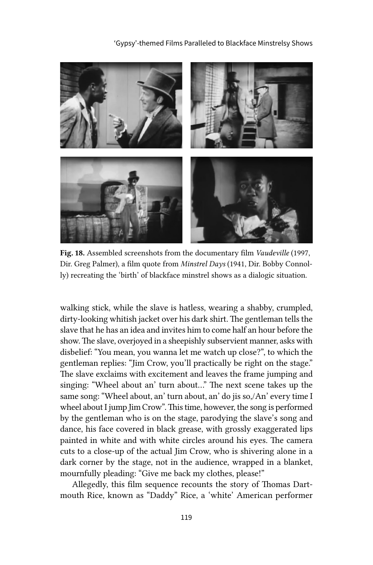'Gypsy'-themed Films Paralleled to Blackface Minstrelsy Shows



Fig. 18. Assembled screenshots from the documentary film *Vaudeville* (1997, Dir. Greg Palmer), a film quote from *Minstrel Days* (1941, Dir. Bobby Connolly) recreating the 'birth' of blackface minstrel shows as a dialogic situation.

walking stick, while the slave is hatless, wearing a shabby, crumpled, dirty-looking whitish jacket over his dark shirt. The gentleman tells the slave that he has an idea and invites him to come half an hour before the show. The slave, overjoyed in a sheepishly subservient manner, asks with disbelief: "You mean, you wanna let me watch up close?", to which the gentleman replies: "Jim Crow, you'll practically be right on the stage." The slave exclaims with excitement and leaves the frame jumping and singing: "Wheel about an' turn about…" The next scene takes up the same song: "Wheel about, an' turn about, an' do jis so,/An' every time I wheel about I jump Jim Crow". This time, however, the song is performed by the gentleman who is on the stage, parodying the slave's song and dance, his face covered in black grease, with grossly exaggerated lips painted in white and with white circles around his eyes. The camera cuts to a close-up of the actual Jim Crow, who is shivering alone in a dark corner by the stage, not in the audience, wrapped in a blanket, mournfully pleading: "Give me back my clothes, please!"

Allegedly, this film sequence recounts the story of Thomas Dartmouth Rice, known as "Daddy" Rice, a 'white' American performer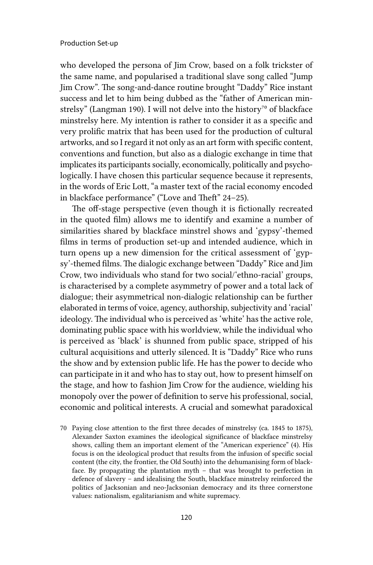who developed the persona of Jim Crow, based on a folk trickster of the same name, and popularised a traditional slave song called "Jump Jim Crow". The song-and-dance routine brought "Daddy" Rice instant success and let to him being dubbed as the "father of American minstrelsy" (Langman 190). I will not delve into the history<sup>70</sup> of blackface minstrelsy here. My intention is rather to consider it as a specific and very prolific matrix that has been used for the production of cultural artworks, and so I regard it not only as an art form with specific content, conventions and function, but also as a dialogic exchange in time that implicates its participants socially, economically, politically and psychologically. I have chosen this particular sequence because it represents, in the words of Eric Lott, "a master text of the racial economy encoded in blackface performance" ("Love and Theft" 24–25).

The off-stage perspective (even though it is fictionally recreated in the quoted film) allows me to identify and examine a number of similarities shared by blackface minstrel shows and 'gypsy'-themed films in terms of production set-up and intended audience, which in turn opens up a new dimension for the critical assessment of 'gypsy'-themed films. The dialogic exchange between "Daddy" Rice and Jim Crow, two individuals who stand for two social/'ethno-racial' groups, is characterised by a complete asymmetry of power and a total lack of dialogue; their asymmetrical non-dialogic relationship can be further elaborated in terms of voice, agency, authorship, subjectivity and 'racial' ideology. The individual who is perceived as 'white' has the active role, dominating public space with his worldview, while the individual who is perceived as 'black' is shunned from public space, stripped of his cultural acquisitions and utterly silenced. It is "Daddy" Rice who runs the show and by extension public life. He has the power to decide who can participate in it and who has to stay out, how to present himself on the stage, and how to fashion Jim Crow for the audience, wielding his monopoly over the power of definition to serve his professional, social, economic and political interests. A crucial and somewhat paradoxical

<sup>70</sup> Paying close attention to the first three decades of minstrelsy (ca. 1845 to 1875), Alexander Saxton examines the ideological significance of blackface minstrelsy shows, calling them an important element of the "American experience" (4). His focus is on the ideological product that results from the infusion of specific social content (the city, the frontier, the Old South) into the dehumanising form of blackface. By propagating the plantation myth – that was brought to perfection in defence of slavery – and idealising the South, blackface minstrelsy reinforced the politics of Jacksonian and neo-Jacksonian democracy and its three cornerstone values: nationalism, egalitarianism and white supremacy.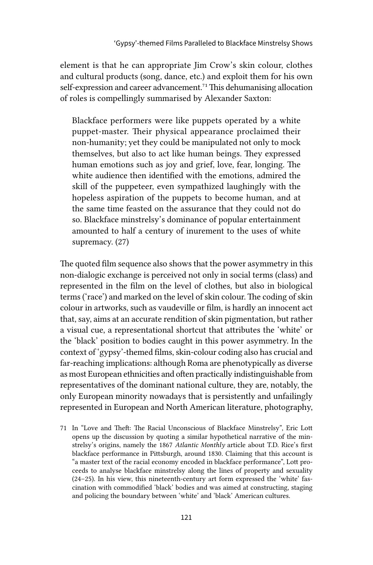element is that he can appropriate Jim Crow's skin colour, clothes and cultural products (song, dance, etc.) and exploit them for his own self-expression and career advancement.<sup>71</sup> This dehumanising allocation of roles is compellingly summarised by Alexander Saxton:

Blackface performers were like puppets operated by a white puppet-master. Their physical appearance proclaimed their non-humanity; yet they could be manipulated not only to mock themselves, but also to act like human beings. They expressed human emotions such as joy and grief, love, fear, longing. The white audience then identified with the emotions, admired the skill of the puppeteer, even sympathized laughingly with the hopeless aspiration of the puppets to become human, and at the same time feasted on the assurance that they could not do so. Blackface minstrelsy's dominance of popular entertainment amounted to half a century of inurement to the uses of white supremacy. (27)

The quoted film sequence also shows that the power asymmetry in this non-dialogic exchange is perceived not only in social terms (class) and represented in the film on the level of clothes, but also in biological terms ('race') and marked on the level of skin colour. The coding of skin colour in artworks, such as vaudeville or film, is hardly an innocent act that, say, aims at an accurate rendition of skin pigmentation, but rather a visual cue, a representational shortcut that attributes the 'white' or the 'black' position to bodies caught in this power asymmetry. In the context of 'gypsy'-themed films, skin-colour coding also has crucial and far-reaching implications: although Roma are phenotypically as diverse as most European ethnicities and often practically indistinguishable from representatives of the dominant national culture, they are, notably, the only European minority nowadays that is persistently and unfailingly represented in European and North American literature, photography,

71 In "Love and Theft: The Racial Unconscious of Blackface Minstrelsy", Eric Lott opens up the discussion by quoting a similar hypothetical narrative of the minstrelsy's origins, namely the 1867 *Atlantic Monthly* article about T.D. Rice's first blackface performance in Pittsburgh, around 1830. Claiming that this account is "a master text of the racial economy encoded in blackface performance", Lott proceeds to analyse blackface minstrelsy along the lines of property and sexuality (24–25). In his view, this nineteenth-century art form expressed the 'white' fascination with commodified 'black' bodies and was aimed at constructing, staging and policing the boundary between 'white' and 'black' American cultures.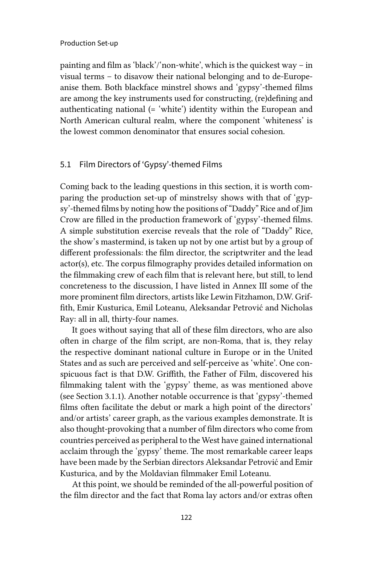painting and film as 'black'/'non-white', which is the quickest way – in visual terms – to disavow their national belonging and to de-Europeanise them. Both blackface minstrel shows and 'gypsy'-themed films are among the key instruments used for constructing, (re)defining and authenticating national (= 'white') identity within the European and North American cultural realm, where the component 'whiteness' is the lowest common denominator that ensures social cohesion.

## 5.1 Film Directors of 'Gypsy'-themed Films

Coming back to the leading questions in this section, it is worth comparing the production set-up of minstrelsy shows with that of 'gypsy'-themed films by noting how the positions of "Daddy" Rice and of Jim Crow are filled in the production framework of 'gypsy'-themed films. A simple substitution exercise reveals that the role of "Daddy" Rice, the show's mastermind, is taken up not by one artist but by a group of different professionals: the film director, the scriptwriter and the lead actor(s), etc. The corpus filmography provides detailed information on the filmmaking crew of each film that is relevant here, but still, to lend concreteness to the discussion, I have listed in Annex III some of the more prominent film directors, artists like Lewin Fitzhamon, D.W. Griffith, Emir Kusturica, Emil Loteanu, Aleksandar Petrović and Nicholas Ray: all in all, thirty-four names.

It goes without saying that all of these film directors, who are also often in charge of the film script, are non-Roma, that is, they relay the respective dominant national culture in Europe or in the United States and as such are perceived and self-perceive as 'white'. One conspicuous fact is that D.W. Griffith, the Father of Film, discovered his filmmaking talent with the 'gypsy' theme, as was mentioned above (see Section 3.1.1). Another notable occurrence is that 'gypsy'-themed films often facilitate the debut or mark a high point of the directors' and/or artists' career graph, as the various examples demonstrate. It is also thought-provoking that a number of film directors who come from countries perceived as peripheral to the West have gained international acclaim through the 'gypsy' theme. The most remarkable career leaps have been made by the Serbian directors Aleksandar Petrović and Emir Kusturica, and by the Moldavian filmmaker Emil Loteanu.

At this point, we should be reminded of the all-powerful position of the film director and the fact that Roma lay actors and/or extras often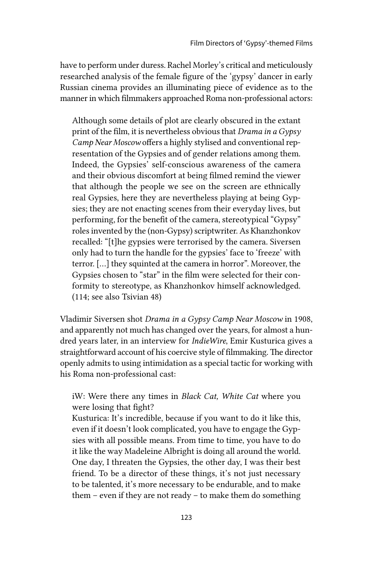have to perform under duress. Rachel Morley's critical and meticulously researched analysis of the female figure of the 'gypsy' dancer in early Russian cinema provides an illuminating piece of evidence as to the manner in which filmmakers approached Roma non-professional actors:

Although some details of plot are clearly obscured in the extant print of the film, it is nevertheless obvious that *Drama in a Gypsy Camp Near Moscow* offers a highly stylised and conventional representation of the Gypsies and of gender relations among them. Indeed, the Gypsies' self-conscious awareness of the camera and their obvious discomfort at being filmed remind the viewer that although the people we see on the screen are ethnically real Gypsies, here they are nevertheless playing at being Gypsies; they are not enacting scenes from their everyday lives, but performing, for the benefit of the camera, stereotypical "Gypsy" roles invented by the (non-Gypsy) scriptwriter. As Khanzhonkov recalled: "[t]he gypsies were terrorised by the camera. Siversen only had to turn the handle for the gypsies' face to 'freeze' with terror. […] they squinted at the camera in horror". Moreover, the Gypsies chosen to "star" in the film were selected for their conformity to stereotype, as Khanzhonkov himself acknowledged. (114; see also Tsivian 48)

Vladimir Siversen shot *Drama in a Gypsy Camp Near Moscow* in 1908, and apparently not much has changed over the years, for almost a hundred years later, in an interview for *IndieWire*, Emir Kusturica gives a straightforward account of his coercive style of filmmaking. The director openly admits to using intimidation as a special tactic for working with his Roma non-professional cast:

# iW: Were there any times in *Black Cat, White Cat* where you were losing that fight?

Kusturica: It's incredible, because if you want to do it like this, even if it doesn't look complicated, you have to engage the Gypsies with all possible means. From time to time, you have to do it like the way Madeleine Albright is doing all around the world. One day, I threaten the Gypsies, the other day, I was their best friend. To be a director of these things, it's not just necessary to be talented, it's more necessary to be endurable, and to make them – even if they are not ready – to make them do something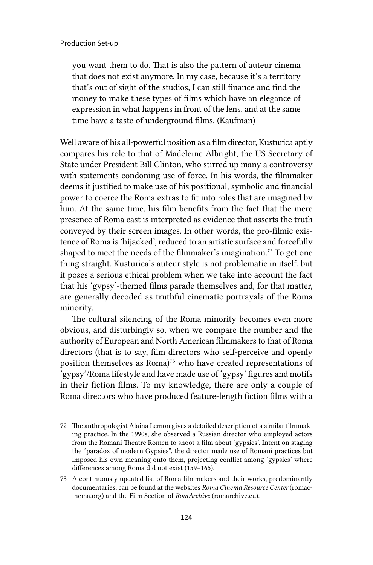you want them to do. That is also the pattern of auteur cinema that does not exist anymore. In my case, because it's a territory that's out of sight of the studios, I can still finance and find the money to make these types of films which have an elegance of expression in what happens in front of the lens, and at the same time have a taste of underground films. (Kaufman)

Well aware of his all-powerful position as a film director, Kusturica aptly compares his role to that of Madeleine Albright, the US Secretary of State under President Bill Clinton, who stirred up many a controversy with statements condoning use of force. In his words, the filmmaker deems it justified to make use of his positional, symbolic and financial power to coerce the Roma extras to fit into roles that are imagined by him. At the same time, his film benefits from the fact that the mere presence of Roma cast is interpreted as evidence that asserts the truth conveyed by their screen images. In other words, the pro-filmic existence of Roma is 'hijacked', reduced to an artistic surface and forcefully shaped to meet the needs of the filmmaker's imagination.72 To get one thing straight, Kusturica's auteur style is not problematic in itself, but it poses a serious ethical problem when we take into account the fact that his 'gypsy'-themed films parade themselves and, for that matter, are generally decoded as truthful cinematic portrayals of the Roma minority.

The cultural silencing of the Roma minority becomes even more obvious, and disturbingly so, when we compare the number and the authority of European and North American filmmakers to that of Roma directors (that is to say, film directors who self-perceive and openly position themselves as Roma)<sup>73</sup> who have created representations of 'gypsy'/Roma lifestyle and have made use of 'gypsy' figures and motifs in their fiction films. To my knowledge, there are only a couple of Roma directors who have produced feature-length fiction films with a

- 72 The anthropologist Alaina Lemon gives a detailed description of a similar filmmaking practice. In the 1990s, she observed a Russian director who employed actors from the Romani Theatre Romen to shoot a film about 'gypsies'. Intent on staging the "paradox of modern Gypsies", the director made use of Romani practices but imposed his own meaning onto them, projecting conflict among 'gypsies' where differences among Roma did not exist (159–165).
- 73 A continuously updated list of Roma filmmakers and their works, predominantly documentaries, can be found at the websites *Roma Cinema Resource Center* (romacinema.org) and the Film Section of *RomArchive* (romarchive.eu).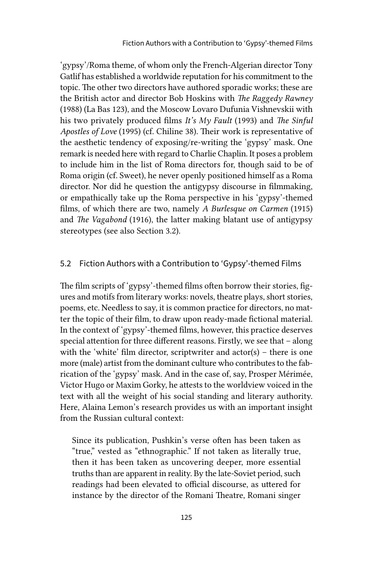'gypsy'/Roma theme, of whom only the French-Algerian director Tony Gatlif has established a worldwide reputation for his commitment to the topic. The other two directors have authored sporadic works; these are the British actor and director Bob Hoskins with *The Raggedy Rawney*  (1988) (La Bas 123), and the Moscow Lovaro Dufunia Vishnevskii with his two privately produced films *It's My Fault* (1993) and *The Sinful Apostles of Love* (1995) (cf. Chiline 38). Their work is representative of the aesthetic tendency of exposing/re-writing the 'gypsy' mask. One remark is needed here with regard to Charlie Chaplin. It poses a problem to include him in the list of Roma directors for, though said to be of Roma origin (cf. Sweet), he never openly positioned himself as a Roma director. Nor did he question the antigypsy discourse in filmmaking, or empathically take up the Roma perspective in his 'gypsy'-themed films, of which there are two, namely *A Burlesque on Carmen* (1915) and *The Vagabond* (1916), the latter making blatant use of antigypsy stereotypes (see also Section 3.2).

## 5.2 Fiction Authors with a Contribution to 'Gypsy'-themed Films

The film scripts of 'gypsy'-themed films often borrow their stories, figures and motifs from literary works: novels, theatre plays, short stories, poems, etc. Needless to say, it is common practice for directors, no matter the topic of their film, to draw upon ready-made fictional material. In the context of 'gypsy'-themed films, however, this practice deserves special attention for three different reasons. Firstly, we see that – along with the 'white' film director, scriptwriter and actor(s) – there is one more (male) artist from the dominant culture who contributes to the fabrication of the 'gypsy' mask. And in the case of, say, Prosper Mérimée, Victor Hugo or Maxim Gorky, he attests to the worldview voiced in the text with all the weight of his social standing and literary authority. Here, Alaina Lemon's research provides us with an important insight from the Russian cultural context:

Since its publication, Pushkin's verse often has been taken as "true," vested as "ethnographic." If not taken as literally true, then it has been taken as uncovering deeper, more essential truths than are apparent in reality. By the late-Soviet period, such readings had been elevated to official discourse, as uttered for instance by the director of the Romani Theatre, Romani singer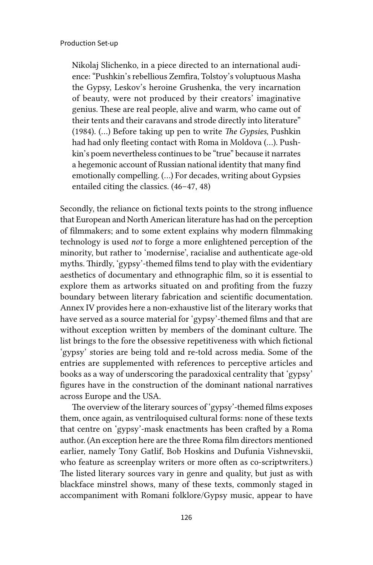Nikolaj Slichenko, in a piece directed to an international audience: "Pushkin's rebellious Zemfira, Tolstoy's voluptuous Masha the Gypsy, Leskov's heroine Grushenka, the very incarnation of beauty, were not produced by their creators' imaginative genius. These are real people, alive and warm, who came out of their tents and their caravans and strode directly into literature" (1984). (…) Before taking up pen to write *The Gypsies*, Pushkin had had only fleeting contact with Roma in Moldova (…). Pushkin's poem nevertheless continues to be "true" because it narrates a hegemonic account of Russian national identity that many find emotionally compelling. (…) For decades, writing about Gypsies entailed citing the classics. (46–47, 48)

Secondly, the reliance on fictional texts points to the strong influence that European and North American literature has had on the perception of filmmakers; and to some extent explains why modern filmmaking technology is used *not* to forge a more enlightened perception of the minority, but rather to 'modernise', racialise and authenticate age-old myths. Thirdly, 'gypsy'-themed films tend to play with the evidentiary aesthetics of documentary and ethnographic film, so it is essential to explore them as artworks situated on and profiting from the fuzzy boundary between literary fabrication and scientific documentation. Annex IV provides here a non-exhaustive list of the literary works that have served as a source material for 'gypsy'-themed films and that are without exception written by members of the dominant culture. The list brings to the fore the obsessive repetitiveness with which fictional 'gypsy' stories are being told and re-told across media. Some of the entries are supplemented with references to perceptive articles and books as a way of underscoring the paradoxical centrality that 'gypsy' figures have in the construction of the dominant national narratives across Europe and the USA.

The overview of the literary sources of 'gypsy'-themed films exposes them, once again, as ventriloquised cultural forms: none of these texts that centre on 'gypsy'-mask enactments has been crafted by a Roma author. (An exception here are the three Roma film directors mentioned earlier, namely Tony Gatlif, Bob Hoskins and Dufunia Vishnevskii, who feature as screenplay writers or more often as co-scriptwriters.) The listed literary sources vary in genre and quality, but just as with blackface minstrel shows, many of these texts, commonly staged in accompaniment with Romani folklore/Gypsy music, appear to have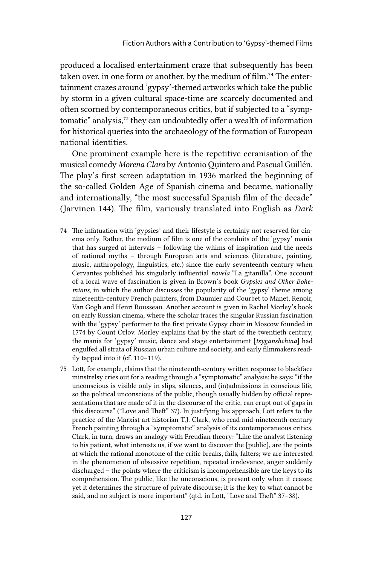produced a localised entertainment craze that subsequently has been taken over, in one form or another, by the medium of film.<sup>74</sup> The entertainment crazes around 'gypsy'-themed artworks which take the public by storm in a given cultural space-time are scarcely documented and often scorned by contemporaneous critics, but if subjected to a "symptomatic" analysis,<sup>75</sup> they can undoubtedly offer a wealth of information for historical queries into the archaeology of the formation of European national identities.

One prominent example here is the repetitive ecranisation of the musical comedy *Morena Clara* by Antonio Quintero and Pascual Guillén. The play's first screen adaptation in 1936 marked the beginning of the so-called Golden Age of Spanish cinema and became, nationally and internationally, "the most successful Spanish film of the decade" (Jarvinen 144). The film, variously translated into English as *Dark* 

- 74 The infatuation with 'gypsies' and their lifestyle is certainly not reserved for cinema only. Rather, the medium of film is one of the conduits of the 'gypsy' mania that has surged at intervals – following the whims of inspiration and the needs of national myths – through European arts and sciences (literature, painting, music, anthropology, linguistics, etc.) since the early seventeenth century when Cervantes published his singularly influential *novela* "La gitanilla". One account of a local wave of fascination is given in Brown's book *Gypsies and Other Bohemians*, in which the author discusses the popularity of the 'gypsy' theme among nineteenth-century French painters, from Daumier and Courbet to Manet, Renoir, Van Gogh and Henri Rousseau. Another account is given in Rachel Morley's book on early Russian cinema, where the scholar traces the singular Russian fascination with the 'gypsy' performer to the first private Gypsy choir in Moscow founded in 1774 by Count Orlov. Morley explains that by the start of the twentieth century, the mania for 'gypsy' music, dance and stage entertainment [*tsyganshchina*] had engulfed all strata of Russian urban culture and society, and early filmmakers readily tapped into it (cf. 110–119).
- 75 Lott, for example, claims that the nineteenth-century written response to blackface minstrelsy cries out for a reading through a "symptomatic" analysis; he says: "if the unconscious is visible only in slips, silences, and (in)admissions in conscious life, so the political unconscious of the public, though usually hidden by official representations that are made of it in the discourse of the critic, can erupt out of gaps in this discourse" ("Love and Theft" 37). In justifying his approach, Lott refers to the practice of the Marxist art historian T.J. Clark, who read mid-nineteenth-century French painting through a "symptomatic" analysis of its contemporaneous critics. Clark, in turn, draws an analogy with Freudian theory: "Like the analyst listening to his patient, what interests us, if we want to discover the [public], are the points at which the rational monotone of the critic breaks, fails, falters; we are interested in the phenomenon of obsessive repetition, repeated irrelevance, anger suddenly discharged – the points where the criticism is incomprehensible are the keys to its comprehension. The public, like the unconscious, is present only when it ceases; yet it determines the structure of private discourse; it is the key to what cannot be said, and no subject is more important" (qtd. in Lott, "Love and Theft" 37-38).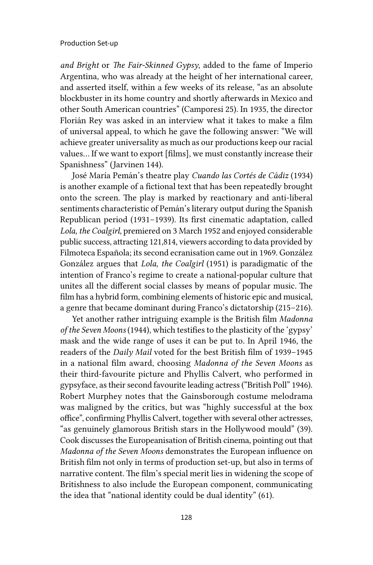*and Bright* or *The Fair-Skinned Gypsy*, added to the fame of Imperio Argentina, who was already at the height of her international career, and asserted itself, within a few weeks of its release, "as an absolute blockbuster in its home country and shortly afterwards in Mexico and other South American countries" (Camporesi 25). In 1935, the director Florián Rey was asked in an interview what it takes to make a film of universal appeal, to which he gave the following answer: "We will achieve greater universality as much as our productions keep our racial values… If we want to export [films], we must constantly increase their Spanishness" (Jarvinen 144).

José María Pemán's theatre play *Cuando las Cortés de Cádiz* (1934) is another example of a fictional text that has been repeatedly brought onto the screen. The play is marked by reactionary and anti-liberal sentiments characteristic of Pemán's literary output during the Spanish Republican period (1931–1939). Its first cinematic adaptation, called *Lola, the Coalgirl,* premiered on 3 March 1952 and enjoyed considerable public success, attracting 121,814, viewers according to data provided by Filmoteca Española; its second ecranisation came out in 1969. González González argues that *Lola, the Coalgirl* (1951) is paradigmatic of the intention of Franco's regime to create a national-popular culture that unites all the different social classes by means of popular music. The film has a hybrid form, combining elements of historic epic and musical, a genre that became dominant during Franco's dictatorship (215–216).

Yet another rather intriguing example is the British film *Madonna of the Seven Moons* (1944), which testifies to the plasticity of the 'gypsy' mask and the wide range of uses it can be put to*.* In April 1946, the readers of the *Daily Mail* voted for the best British film of 1939–1945 in a national film award, choosing *Madonna of the Seven Moons* as their third-favourite picture and Phyllis Calvert, who performed in gypsyface, as their second favourite leading actress ("British Poll" 1946). Robert Murphey notes that the Gainsborough costume melodrama was maligned by the critics, but was "highly successful at the box office", confirming Phyllis Calvert, together with several other actresses, "as genuinely glamorous British stars in the Hollywood mould" (39). Cook discusses the Europeanisation of British cinema, pointing out that *Madonna of the Seven Moons* demonstrates the European influence on British film not only in terms of production set-up, but also in terms of narrative content. The film's special merit lies in widening the scope of Britishness to also include the European component, communicating the idea that "national identity could be dual identity" (61).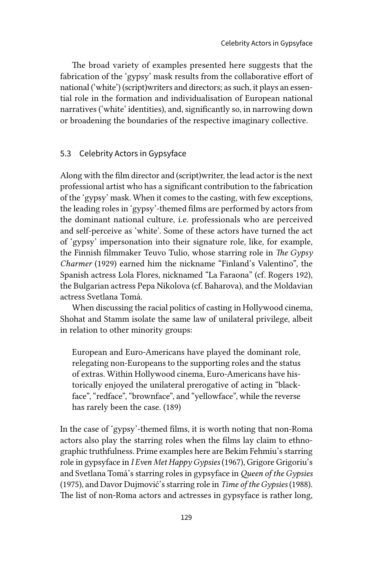The broad variety of examples presented here suggests that the fabrication of the 'gypsy' mask results from the collaborative effort of national ('white') (script)writers and directors; as such, it plays an essential role in the formation and individualisation of European national narratives ('white' identities), and, significantly so, in narrowing down or broadening the boundaries of the respective imaginary collective.

## 5.3 Celebrity Actors in Gypsyface

Along with the film director and (script)writer, the lead actor is the next professional artist who has a significant contribution to the fabrication of the 'gypsy' mask. When it comes to the casting, with few exceptions, the leading roles in 'gypsy'-themed films are performed by actors from the dominant national culture, i.e. professionals who are perceived and self-perceive as 'white'. Some of these actors have turned the act of 'gypsy' impersonation into their signature role, like, for example, the Finnish filmmaker Teuvo Tulio, whose starring role in *The Gypsy Charmer* (1929) earned him the nickname "Finland's Valentino", the Spanish actress Lola Flores, nicknamed "La Faraona" (cf. Rogers 192), the Bulgarian actress Pepa Nikolova (cf. Baharova), and the Moldavian actress Svetlana Tomá.

When discussing the racial politics of casting in Hollywood cinema, Shohat and Stamm isolate the same law of unilateral privilege, albeit in relation to other minority groups:

European and Euro-Americans have played the dominant role, relegating non-Europeans to the supporting roles and the status of extras. Within Hollywood cinema, Euro-Americans have historically enjoyed the unilateral prerogative of acting in "blackface", "redface", "brownface", and "yellowface", while the reverse has rarely been the case. (189)

In the case of 'gypsy'-themed films, it is worth noting that non-Roma actors also play the starring roles when the films lay claim to ethnographic truthfulness. Prime examples here are Bekim Fehmiu's starring role in gypsyface in *I Even Met Happy Gypsies* (1967), Grigore Grigoriu's and Svetlana Tomá's starring roles in gypsyface in *Queen of the Gypsies* (1975), and Davor Dujmović's starring role in *Time of the Gypsies* (1988). The list of non-Roma actors and actresses in gypsyface is rather long,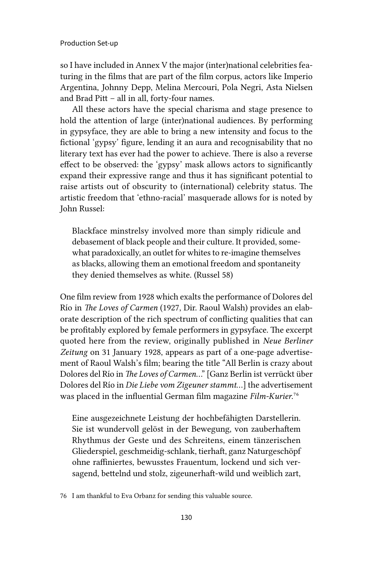so I have included in Annex V the major (inter)national celebrities featuring in the films that are part of the film corpus, actors like Imperio Argentina, Johnny Depp, Melina Mercouri, Pola Negri, Asta Nielsen and Brad Pitt – all in all, forty-four names.

All these actors have the special charisma and stage presence to hold the attention of large (inter)national audiences. By performing in gypsyface, they are able to bring a new intensity and focus to the fictional 'gypsy' figure, lending it an aura and recognisability that no literary text has ever had the power to achieve. There is also a reverse effect to be observed: the 'gypsy' mask allows actors to significantly expand their expressive range and thus it has significant potential to raise artists out of obscurity to (international) celebrity status. The artistic freedom that 'ethno-racial' masquerade allows for is noted by John Russel:

Blackface minstrelsy involved more than simply ridicule and debasement of black people and their culture. It provided, somewhat paradoxically, an outlet for whites to re-imagine themselves as blacks, allowing them an emotional freedom and spontaneity they denied themselves as white. (Russel 58)

One film review from 1928 which exalts the performance of Dolores del Río in *The Loves of Carmen* (1927, Dir. Raoul Walsh) provides an elaborate description of the rich spectrum of conflicting qualities that can be profitably explored by female performers in gypsyface. The excerpt quoted here from the review, originally published in *Neue Berliner Zeitung* on 31 January 1928, appears as part of a one-page advertisement of Raoul Walsh's film; bearing the title "All Berlin is crazy about Dolores del Río in *The Loves of Carmen*..." [Ganz Berlin ist verrückt über Dolores del Río in *Die Liebe vom Zigeuner stammt*…] the advertisement was placed in the influential German film magazine *Film-Kurier*.76

Eine ausgezeichnete Leistung der hochbefähigten Darstellerin. Sie ist wundervoll gelöst in der Bewegung, von zauberhaftem Rhythmus der Geste und des Schreitens, einem tänzerischen Gliederspiel, geschmeidig-schlank, tierhaft, ganz Naturgeschöpf ohne raffiniertes, bewusstes Frauentum, lockend und sich versagend, bettelnd und stolz, zigeunerhaft-wild und weiblich zart,

<sup>76</sup> I am thankful to Eva Orbanz for sending this valuable source.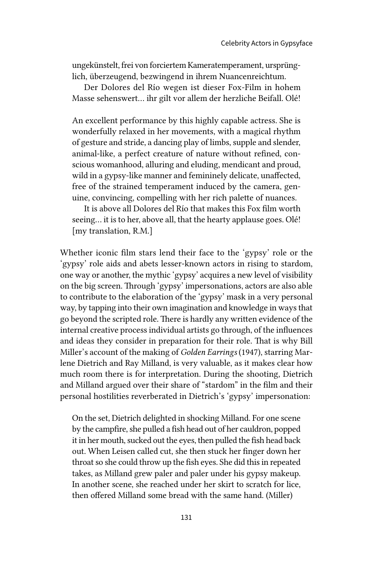ungekünstelt, frei von forciertem Kameratemperament, ursprünglich, überzeugend, bezwingend in ihrem Nuancenreichtum.

Der Dolores del Río wegen ist dieser Fox-Film in hohem Masse sehenswert… ihr gilt vor allem der herzliche Beifall. Olé!

An excellent performance by this highly capable actress. She is wonderfully relaxed in her movements, with a magical rhythm of gesture and stride, a dancing play of limbs, supple and slender, animal-like, a perfect creature of nature without refined, conscious womanhood, alluring and eluding, mendicant and proud, wild in a gypsy-like manner and femininely delicate, unaffected, free of the strained temperament induced by the camera, genuine, convincing, compelling with her rich palette of nuances.

It is above all Dolores del Río that makes this Fox film worth seeing... it is to her, above all, that the hearty applause goes. Olé! [my translation, R.M.]

Whether iconic film stars lend their face to the 'gypsy' role or the 'gypsy' role aids and abets lesser-known actors in rising to stardom, one way or another, the mythic 'gypsy' acquires a new level of visibility on the big screen. Through 'gypsy' impersonations, actors are also able to contribute to the elaboration of the 'gypsy' mask in a very personal way, by tapping into their own imagination and knowledge in ways that go beyond the scripted role. There is hardly any written evidence of the internal creative process individual artists go through, of the influences and ideas they consider in preparation for their role. That is why Bill Miller's account of the making of *Golden Earrings* (1947), starring Marlene Dietrich and Ray Milland, is very valuable, as it makes clear how much room there is for interpretation. During the shooting, Dietrich and Milland argued over their share of "stardom" in the film and their personal hostilities reverberated in Dietrich's 'gypsy' impersonation:

On the set, Dietrich delighted in shocking Milland. For one scene by the campfire, she pulled a fish head out of her cauldron, popped it in her mouth, sucked out the eyes, then pulled the fish head back out. When Leisen called cut, she then stuck her finger down her throat so she could throw up the fish eyes. She did this in repeated takes, as Milland grew paler and paler under his gypsy makeup. In another scene, she reached under her skirt to scratch for lice, then offered Milland some bread with the same hand. (Miller)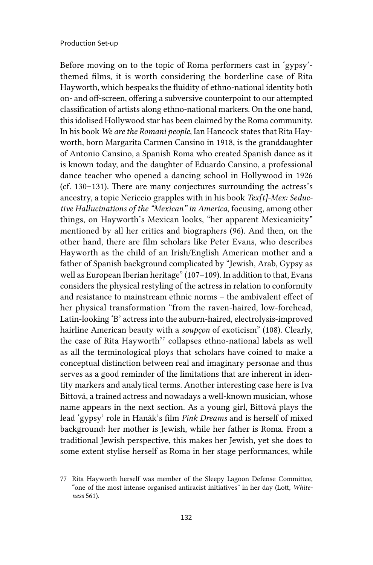Before moving on to the topic of Roma performers cast in 'gypsy' themed films, it is worth considering the borderline case of Rita Hayworth, which bespeaks the fluidity of ethno-national identity both on- and off-screen, offering a subversive counterpoint to our attempted classification of artists along ethno-national markers. On the one hand, this idolised Hollywood star has been claimed by the Roma community. In his book *We are the Romani people*, Ian Hancock states that Rita Hayworth, born Margarita Carmen Cansino in 1918, is the granddaughter of Antonio Cansino, a Spanish Roma who created Spanish dance as it is known today, and the daughter of Eduardo Cansino, a professional dance teacher who opened a dancing school in Hollywood in 1926 (cf. 130–131). There are many conjectures surrounding the actress's ancestry, a topic Nericcio grapples with in his book *Tex[t]-Mex: Seductive Hallucinations of the "Mexican" in America*, focusing, among other things, on Hayworth's Mexican looks, "her apparent Mexicanicity" mentioned by all her critics and biographers (96). And then, on the other hand, there are film scholars like Peter Evans, who describes Hayworth as the child of an Irish/English American mother and a father of Spanish background complicated by "Jewish, Arab, Gypsy as well as European Iberian heritage" (107–109). In addition to that, Evans considers the physical restyling of the actress in relation to conformity and resistance to mainstream ethnic norms – the ambivalent effect of her physical transformation "from the raven-haired, low-forehead, Latin-looking 'B' actress into the auburn-haired, electrolysis-improved hairline American beauty with a *soupçon* of exoticism" (108). Clearly, the case of Rita Hayworth<sup>77</sup> collapses ethno-national labels as well as all the terminological ploys that scholars have coined to make a conceptual distinction between real and imaginary personae and thus serves as a good reminder of the limitations that are inherent in identity markers and analytical terms. Another interesting case here is Iva Bittová, a trained actress and nowadays a well-known musician, whose name appears in the next section. As a young girl, Bittová plays the lead 'gypsy' role in Hanák's film *Pink Dreams* and is herself of mixed background: her mother is Jewish, while her father is Roma. From a traditional Jewish perspective, this makes her Jewish, yet she does to some extent stylise herself as Roma in her stage performances, while

<sup>77</sup> Rita Hayworth herself was member of the Sleepy Lagoon Defense Committee, "one of the most intense organised antiracist initiatives" in her day (Lott, *Whiteness* 561).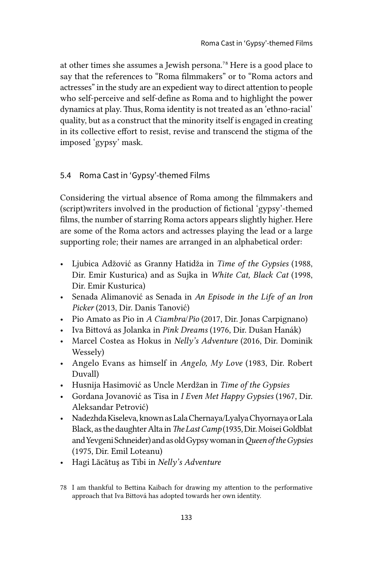at other times she assumes a Jewish persona.78 Here is a good place to say that the references to "Roma filmmakers" or to "Roma actors and actresses" in the study are an expedient way to direct attention to people who self-perceive and self-define as Roma and to highlight the power dynamics at play. Thus, Roma identity is not treated as an 'ethno-racial' quality, but as a construct that the minority itself is engaged in creating in its collective effort to resist, revise and transcend the stigma of the imposed 'gypsy' mask.

# 5.4 Roma Cast in 'Gypsy'-themed Films

Considering the virtual absence of Roma among the filmmakers and (script)writers involved in the production of fictional 'gypsy'-themed films, the number of starring Roma actors appears slightly higher. Here are some of the Roma actors and actresses playing the lead or a large supporting role; their names are arranged in an alphabetical order:

- Ljubica Adžović as Granny Hatidža in *Time of the Gypsies* (1988, Dir. Emir Kusturica) and as Sujka in *White Cat, Black Cat* (1998, Dir. Emir Kusturica)
- Senada Alimanović as Senada in *An Episode in the Life of an Iron Picker* (2013, Dir. Danis Tanović)
- Pio Amato as Pio in *A Ciambra*/*Pio* (2017, Dir. Jonas Carpignano)
- Iva Bittová as Jolanka in *Pink Dreams* (1976, Dir. Dušan Hanák)
- Marcel Costea as Hokus in *Nelly's Adventure* (2016, Dir. Dominik Wessely)
- Angelo Evans as himself in *Angelo, My Love* (1983, Dir. Robert Duvall)
- Husnija Hasimović as Uncle Merdžan in *Time of the Gypsies*
- Gordana Jovanović as Tisa in *I Even Met Happy Gypsies* (1967, Dir. Aleksandar Petrović)
- Nadezhda Kiseleva, known as Lala Chernaya/Lyalya Chyornaya or Lala Black, as the daughter Alta in *The Last Camp* (1935, Dir. Moisei Goldblat and Yevgeni Schneider) and as old Gypsy woman in *Queen of the Gypsies* (1975, Dir. Emil Loteanu)
- Hagi Lăcătuş as Tibi in *Nelly's Adventure*

<sup>78</sup> I am thankful to Bettina Kaibach for drawing my attention to the performative approach that Iva Bittová has adopted towards her own identity.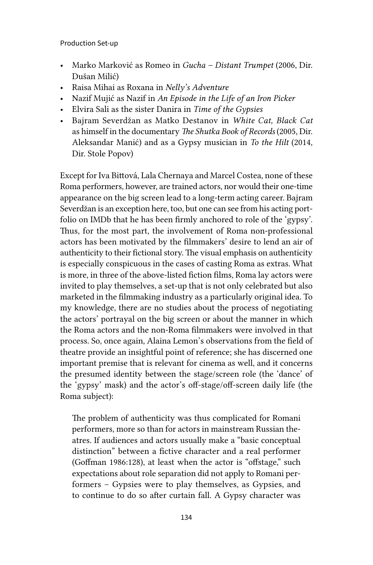- Marko Marković as Romeo in *Gucha Distant Trumpet* (2006, Dir. Dušan Milić)
- Raisa Mihai as Roxana in *Nelly's Adventure*
- Nazif Mujić as Nazif in *An Episode in the Life of an Iron Picker*
- Elvira Sali as the sister Danira in *Time of the Gypsies*
- Bajram Severdžan as Matko Destanov in *White Cat, Black Cat* as himself in the documentary *The Shutka Book of Records* (2005, Dir. Aleksandar Manić) and as a Gypsy musician in *To the Hilt* (2014, Dir. Stole Popov)

Except for Iva Bittová, Lala Chernaya and Marcel Costea, none of these Roma performers, however, are trained actors, nor would their one-time appearance on the big screen lead to a long-term acting career. Bajram Severdžan is an exception here, too, but one can see from his acting portfolio on IMDb that he has been firmly anchored to role of the 'gypsy'. Thus, for the most part, the involvement of Roma non-professional actors has been motivated by the filmmakers' desire to lend an air of authenticity to their fictional story. The visual emphasis on authenticity is especially conspicuous in the cases of casting Roma as extras. What is more, in three of the above-listed fiction films, Roma lay actors were invited to play themselves, a set-up that is not only celebrated but also marketed in the filmmaking industry as a particularly original idea. To my knowledge, there are no studies about the process of negotiating the actors' portrayal on the big screen or about the manner in which the Roma actors and the non-Roma filmmakers were involved in that process. So, once again, Alaina Lemon's observations from the field of theatre provide an insightful point of reference; she has discerned one important premise that is relevant for cinema as well, and it concerns the presumed identity between the stage/screen role (the 'dance' of the 'gypsy' mask) and the actor's off-stage/off-screen daily life (the Roma subject):

The problem of authenticity was thus complicated for Romani performers, more so than for actors in mainstream Russian theatres. If audiences and actors usually make a "basic conceptual distinction" between a fictive character and a real performer (Goffman 1986:128), at least when the actor is "offstage," such expectations about role separation did not apply to Romani performers – Gypsies were to play themselves, as Gypsies, and to continue to do so after curtain fall. A Gypsy character was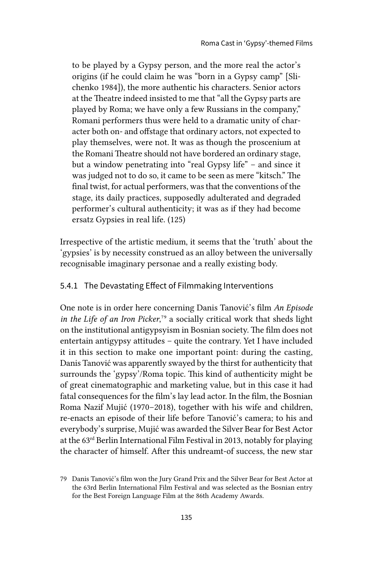to be played by a Gypsy person, and the more real the actor's origins (if he could claim he was "born in a Gypsy camp" [Slichenko 1984]), the more authentic his characters. Senior actors at the Theatre indeed insisted to me that "all the Gypsy parts are played by Roma; we have only a few Russians in the company," Romani performers thus were held to a dramatic unity of character both on- and offstage that ordinary actors, not expected to play themselves, were not. It was as though the proscenium at the Romani Theatre should not have bordered an ordinary stage, but a window penetrating into "real Gypsy life" – and since it was judged not to do so, it came to be seen as mere "kitsch." The final twist, for actual performers, was that the conventions of the stage, its daily practices, supposedly adulterated and degraded performer's cultural authenticity; it was as if they had become ersatz Gypsies in real life. (125)

Irrespective of the artistic medium, it seems that the 'truth' about the 'gypsies' is by necessity construed as an alloy between the universally recognisable imaginary personae and a really existing body.

# 5.4.1 The Devastating Effect of Filmmaking Interventions

One note is in order here concerning Danis Tanović's film *An Episode in the Life of an Iron Picker*,<sup>79</sup> a socially critical work that sheds light on the institutional antigypsyism in Bosnian society. The film does not entertain antigypsy attitudes – quite the contrary. Yet I have included it in this section to make one important point: during the casting, Danis Tanović was apparently swayed by the thirst for authenticity that surrounds the 'gypsy'/Roma topic. This kind of authenticity might be of great cinematographic and marketing value, but in this case it had fatal consequences for the film's lay lead actor. In the film, the Bosnian Roma Nazif Mujić (1970–2018), together with his wife and children, re-enacts an episode of their life before Tanović's camera; to his and everybody's surprise, Mujić was awarded the Silver Bear for Best Actor at the 63rd Berlin International Film Festival in 2013, notably for playing the character of himself. After this undreamt-of success, the new star

<sup>79</sup> Danis Tanović's film won the Jury Grand Prix and the Silver Bear for Best Actor at the 63rd Berlin International Film Festival and was selected as the Bosnian entry for the Best Foreign Language Film at the 86th Academy Awards.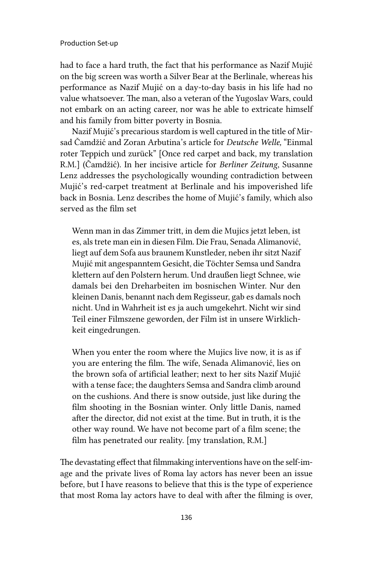had to face a hard truth, the fact that his performance as Nazif Mujić on the big screen was worth a Silver Bear at the Berlinale, whereas his performance as Nazif Mujić on a day-to-day basis in his life had no value whatsoever. The man, also a veteran of the Yugoslav Wars, could not embark on an acting career, nor was he able to extricate himself and his family from bitter poverty in Bosnia.

Nazif Mujić's precarious stardom is well captured in the title of Mirsad Čamdžić and Zoran Arbutina's article for *Deutsche Welle,* "Einmal roter Teppich und zurück" [Once red carpet and back, my translation R.M.] (Čamdžić). In her incisive article for *Berliner Zeitung*, Susanne Lenz addresses the psychologically wounding contradiction between Mujić's red-carpet treatment at Berlinale and his impoverished life back in Bosnia. Lenz describes the home of Mujić's family, which also served as the film set

Wenn man in das Zimmer tritt, in dem die Mujics jetzt leben, ist es, als trete man ein in diesen Film. Die Frau, Senada Alimanović, liegt auf dem Sofa aus braunem Kunstleder, neben ihr sitzt Nazif Mujić mit angespanntem Gesicht, die Töchter Semsa und Sandra klettern auf den Polstern herum. Und draußen liegt Schnee, wie damals bei den Dreharbeiten im bosnischen Winter. Nur den kleinen Danis, benannt nach dem Regisseur, gab es damals noch nicht. Und in Wahrheit ist es ja auch umgekehrt. Nicht wir sind Teil einer Filmszene geworden, der Film ist in unsere Wirklichkeit eingedrungen.

When you enter the room where the Mujics live now, it is as if you are entering the film. The wife, Senada Alimanović, lies on the brown sofa of artificial leather; next to her sits Nazif Mujić with a tense face; the daughters Semsa and Sandra climb around on the cushions. And there is snow outside, just like during the film shooting in the Bosnian winter. Only little Danis, named after the director, did not exist at the time. But in truth, it is the other way round. We have not become part of a film scene; the film has penetrated our reality. [my translation, R.M.]

The devastating effect that filmmaking interventions have on the self-image and the private lives of Roma lay actors has never been an issue before, but I have reasons to believe that this is the type of experience that most Roma lay actors have to deal with after the filming is over,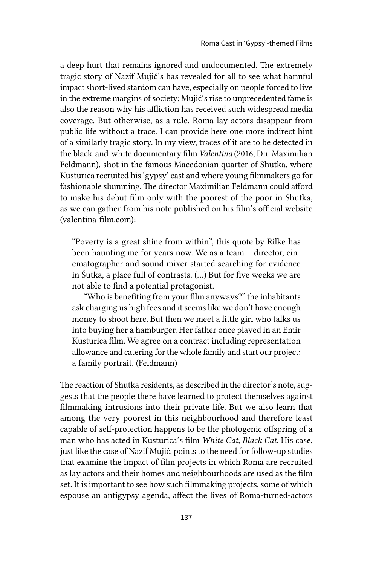a deep hurt that remains ignored and undocumented. The extremely tragic story of Nazif Mujić's has revealed for all to see what harmful impact short-lived stardom can have, especially on people forced to live in the extreme margins of society; Mujić's rise to unprecedented fame is also the reason why his affliction has received such widespread media coverage. But otherwise, as a rule, Roma lay actors disappear from public life without a trace. I can provide here one more indirect hint of a similarly tragic story. In my view, traces of it are to be detected in the black-and-white documentary film *Valentina* (2016, Dir. Maximilian Feldmann), shot in the famous Macedonian quarter of Shutka, where Kusturica recruited his 'gypsy' cast and where young filmmakers go for fashionable slumming. The director Maximilian Feldmann could afford to make his debut film only with the poorest of the poor in Shutka, as we can gather from his note published on his film's official website (valentina-film.com):

"Poverty is a great shine from within", this quote by Rilke has been haunting me for years now. We as a team – director, cinematographer and sound mixer started searching for evidence in Šutka, a place full of contrasts. (…) But for five weeks we are not able to find a potential protagonist.

"Who is benefiting from your film anyways?" the inhabitants ask charging us high fees and it seems like we don't have enough money to shoot here. But then we meet a little girl who talks us into buying her a hamburger. Her father once played in an Emir Kusturica film. We agree on a contract including representation allowance and catering for the whole family and start our project: a family portrait. (Feldmann)

The reaction of Shutka residents, as described in the director's note, suggests that the people there have learned to protect themselves against filmmaking intrusions into their private life. But we also learn that among the very poorest in this neighbourhood and therefore least capable of self-protection happens to be the photogenic offspring of a man who has acted in Kusturica's film *White Cat, Black Cat*. His case, just like the case of Nazif Mujić, points to the need for follow-up studies that examine the impact of film projects in which Roma are recruited as lay actors and their homes and neighbourhoods are used as the film set. It is important to see how such filmmaking projects, some of which espouse an antigypsy agenda, affect the lives of Roma-turned-actors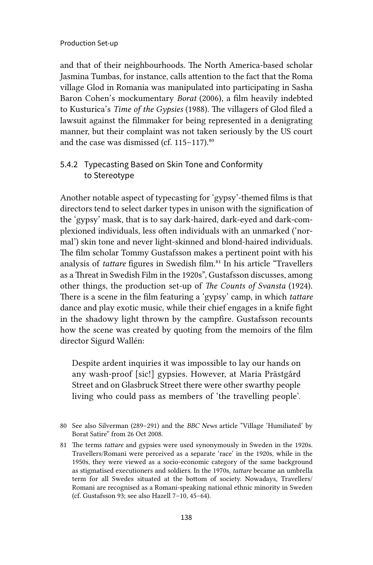and that of their neighbourhoods. The North America-based scholar Jasmina Tumbas, for instance, calls attention to the fact that the Roma village Glod in Romania was manipulated into participating in Sasha Baron Cohen's mockumentary *Borat* (2006), a film heavily indebted to Kusturica's *Time of the Gypsies* (1988). The villagers of Glod filed a lawsuit against the filmmaker for being represented in a denigrating manner, but their complaint was not taken seriously by the US court and the case was dismissed (cf.  $115-117$ ).<sup>80</sup>

# 5.4.2 Typecasting Based on Skin Tone and Conformity to Stereotype

Another notable aspect of typecasting for 'gypsy'-themed films is that directors tend to select darker types in unison with the signification of the 'gypsy' mask, that is to say dark-haired, dark-eyed and dark-complexioned individuals, less often individuals with an unmarked ('normal') skin tone and never light-skinned and blond-haired individuals. The film scholar Tommy Gustafsson makes a pertinent point with his analysis of *tattare* figures in Swedish film.<sup>81</sup> In his article "Travellers as a Threat in Swedish Film in the 1920s", Gustafsson discusses, among other things, the production set-up of *The Counts of Svansta* (1924). There is a scene in the film featuring a 'gypsy' camp, in which *tattare*  dance and play exotic music, while their chief engages in a knife fight in the shadowy light thrown by the campfire. Gustafsson recounts how the scene was created by quoting from the memoirs of the film director Sigurd Wallén:

Despite ardent inquiries it was impossible to lay our hands on any wash-proof [sic!] gypsies. However, at Maria Prästgård Street and on Glasbruck Street there were other swarthy people living who could pass as members of 'the travelling people'.

<sup>80</sup> See also Silverman (289–291) and the *BBC News* article "Village 'Humiliated' by Borat Satire" from 26 Oct 2008.

<sup>81</sup> The terms *tattare* and gypsies were used synonymously in Sweden in the 1920s. Travellers/Romani were perceived as a separate 'race' in the 1920s, while in the 1950s, they were viewed as a socio-economic category of the same background as stigmatised executioners and soldiers. In the 1970s, *tattare* became an umbrella term for all Swedes situated at the bottom of society. Nowadays, Travellers/ Romani are recognised as a Romani-speaking national ethnic minority in Sweden (cf. Gustafsson 93; see also Hazell 7–10, 45–64).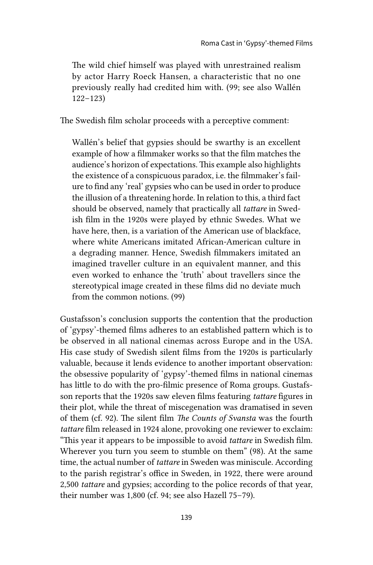The wild chief himself was played with unrestrained realism by actor Harry Roeck Hansen, a characteristic that no one previously really had credited him with. (99; see also Wallén 122–123)

The Swedish film scholar proceeds with a perceptive comment:

Wallén's belief that gypsies should be swarthy is an excellent example of how a filmmaker works so that the film matches the audience's horizon of expectations. This example also highlights the existence of a conspicuous paradox, i.e. the filmmaker's failure to find any 'real' gypsies who can be used in order to produce the illusion of a threatening horde. In relation to this, a third fact should be observed, namely that practically all *tattare* in Swedish film in the 1920s were played by ethnic Swedes. What we have here, then, is a variation of the American use of blackface, where white Americans imitated African-American culture in a degrading manner. Hence, Swedish filmmakers imitated an imagined traveller culture in an equivalent manner, and this even worked to enhance the 'truth' about travellers since the stereotypical image created in these films did no deviate much from the common notions. (99)

Gustafsson's conclusion supports the contention that the production of 'gypsy'-themed films adheres to an established pattern which is to be observed in all national cinemas across Europe and in the USA. His case study of Swedish silent films from the 1920s is particularly valuable, because it lends evidence to another important observation: the obsessive popularity of 'gypsy'-themed films in national cinemas has little to do with the pro-filmic presence of Roma groups. Gustafsson reports that the 1920s saw eleven films featuring *tattare* figures in their plot, while the threat of miscegenation was dramatised in seven of them (cf. 92). The silent film *The Counts of Svansta* was the fourth *tattare* film released in 1924 alone, provoking one reviewer to exclaim: "This year it appears to be impossible to avoid *tattare* in Swedish film. Wherever you turn you seem to stumble on them" (98). At the same time, the actual number of *tattare* in Sweden was miniscule. According to the parish registrar's office in Sweden, in 1922, there were around 2,500 *tattare* and gypsies; according to the police records of that year, their number was 1,800 (cf. 94; see also Hazell 75–79).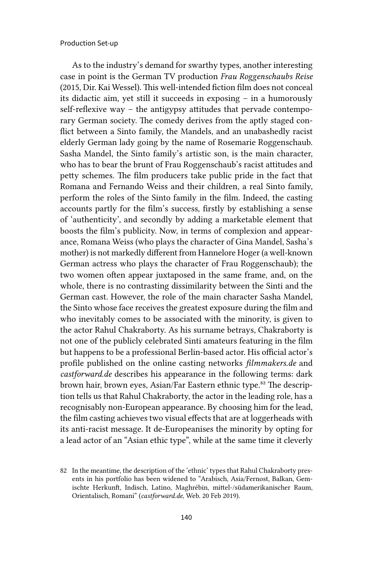As to the industry's demand for swarthy types, another interesting case in point is the German TV production *Frau Roggenschaubs Reise* (2015, Dir. Kai Wessel). This well-intended fiction film does not conceal its didactic aim, yet still it succeeds in exposing – in a humorously self-reflexive way – the antigypsy attitudes that pervade contemporary German society. The comedy derives from the aptly staged conflict between a Sinto family, the Mandels, and an unabashedly racist elderly German lady going by the name of Rosemarie Roggenschaub. Sasha Mandel, the Sinto family's artistic son, is the main character, who has to bear the brunt of Frau Roggenschaub's racist attitudes and petty schemes. The film producers take public pride in the fact that Romana and Fernando Weiss and their children, a real Sinto family, perform the roles of the Sinto family in the film. Indeed, the casting accounts partly for the film's success, firstly by establishing a sense of 'authenticity', and secondly by adding a marketable element that boosts the film's publicity. Now, in terms of complexion and appearance, Romana Weiss (who plays the character of Gina Mandel, Sasha's mother) is not markedly different from Hannelore Hoger (a well-known German actress who plays the character of Frau Roggenschaub); the two women often appear juxtaposed in the same frame, and, on the whole, there is no contrasting dissimilarity between the Sinti and the German cast. However, the role of the main character Sasha Mandel, the Sinto whose face receives the greatest exposure during the film and who inevitably comes to be associated with the minority, is given to the actor Rahul Chakraborty. As his surname betrays, Chakraborty is not one of the publicly celebrated Sinti amateurs featuring in the film but happens to be a professional Berlin-based actor. His official actor's profile published on the online casting networks *filmmakers.de* and *castforward.de* describes his appearance in the following terms: dark brown hair, brown eyes, Asian/Far Eastern ethnic type.<sup>82</sup> The description tells us that Rahul Chakraborty, the actor in the leading role, has a recognisably non-European appearance. By choosing him for the lead, the film casting achieves two visual effects that are at loggerheads with its anti-racist message. It de-Europeanises the minority by opting for a lead actor of an "Asian ethic type", while at the same time it cleverly

<sup>82</sup> In the meantime, the description of the 'ethnic' types that Rahul Chakraborty presents in his portfolio has been widened to "Arabisch, Asia/Fernost, Balkan, Gemischte Herkunft, Indisch, Latino, Maghrébin, mittel-/südamerikanischer Raum, Orientalisch, Romani" (*castforward.de*, Web. 20 Feb 2019).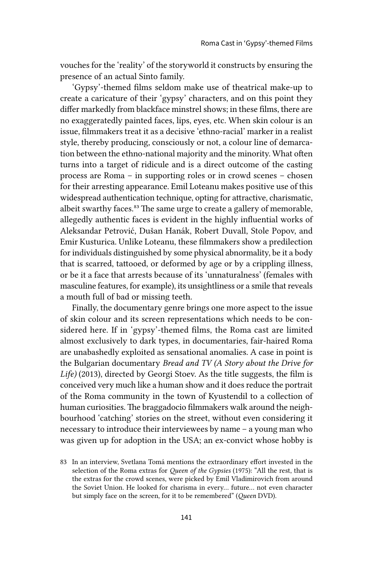vouches for the 'reality' of the storyworld it constructs by ensuring the presence of an actual Sinto family.

'Gypsy'-themed films seldom make use of theatrical make-up to create a caricature of their 'gypsy' characters, and on this point they differ markedly from blackface minstrel shows; in these films, there are no exaggeratedly painted faces, lips, eyes, etc. When skin colour is an issue, filmmakers treat it as a decisive 'ethno-racial' marker in a realist style, thereby producing, consciously or not, a colour line of demarcation between the ethno-national majority and the minority. What often turns into a target of ridicule and is a direct outcome of the casting process are Roma – in supporting roles or in crowd scenes – chosen for their arresting appearance. Emil Loteanu makes positive use of this widespread authentication technique, opting for attractive, charismatic, albeit swarthy faces.<sup>83</sup> The same urge to create a gallery of memorable, allegedly authentic faces is evident in the highly influential works of Aleksandar Petrović, Dušan Hanák, Robert Duvall, Stole Popov, and Emir Kusturica. Unlike Loteanu, these filmmakers show a predilection for individuals distinguished by some physical abnormality, be it a body that is scarred, tattooed, or deformed by age or by a crippling illness, or be it a face that arrests because of its 'unnaturalness' (females with masculine features, for example), its unsightliness or a smile that reveals a mouth full of bad or missing teeth.

Finally, the documentary genre brings one more aspect to the issue of skin colour and its screen representations which needs to be considered here. If in 'gypsy'-themed films, the Roma cast are limited almost exclusively to dark types, in documentaries, fair-haired Roma are unabashedly exploited as sensational anomalies. A case in point is the Bulgarian documentary *Bread and TV (A Story about the Drive for Life)* (2013), directed by Georgi Stoev. As the title suggests, the film is conceived very much like a human show and it does reduce the portrait of the Roma community in the town of Kyustendil to a collection of human curiosities. The braggadocio filmmakers walk around the neighbourhood 'catching' stories on the street, without even considering it necessary to introduce their interviewees by name – a young man who was given up for adoption in the USA; an ex-convict whose hobby is

<sup>83</sup> In an interview, Svetlana Tomá mentions the extraordinary effort invested in the selection of the Roma extras for *Queen of the Gypsies* (1975): "All the rest, that is the extras for the crowd scenes, were picked by Emil Vladimirovich from around the Soviet Union. He looked for charisma in every… future… not even character but simply face on the screen, for it to be remembered" (*Queen* DVD).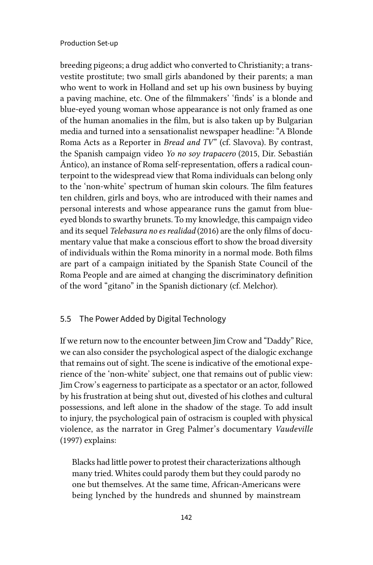breeding pigeons; a drug addict who converted to Christianity; a transvestite prostitute; two small girls abandoned by their parents; a man who went to work in Holland and set up his own business by buying a paving machine, etc. One of the filmmakers' 'finds' is a blonde and blue-eyed young woman whose appearance is not only framed as one of the human anomalies in the film, but is also taken up by Bulgarian media and turned into a sensationalist newspaper headline: "A Blonde Roma Acts as a Reporter in *Bread and TV*" (cf. Slavova). By contrast, the Spanish campaign video *Yo no soy trapacero* (2015, Dir. Sebastián Ántico), an instance of Roma self-representation, offers a radical counterpoint to the widespread view that Roma individuals can belong only to the 'non-white' spectrum of human skin colours. The film features ten children, girls and boys, who are introduced with their names and personal interests and whose appearance runs the gamut from blueeyed blonds to swarthy brunets. To my knowledge, this campaign video and its sequel *Telebasura no es realidad* (2016) are the only films of documentary value that make a conscious effort to show the broad diversity of individuals within the Roma minority in a normal mode. Both films are part of a campaign initiated by the Spanish State Council of the Roma People and are aimed at changing the discriminatory definition of the word "gitano" in the Spanish dictionary (cf. Melchor).

## 5.5 The Power Added by Digital Technology

If we return now to the encounter between Jim Crow and "Daddy" Rice, we can also consider the psychological aspect of the dialogic exchange that remains out of sight. The scene is indicative of the emotional experience of the 'non-white' subject, one that remains out of public view: Jim Crow's eagerness to participate as a spectator or an actor, followed by his frustration at being shut out, divested of his clothes and cultural possessions, and left alone in the shadow of the stage. To add insult to injury, the psychological pain of ostracism is coupled with physical violence, as the narrator in Greg Palmer's documentary *Vaudeville* (1997) explains:

Blacks had little power to protest their characterizations although many tried. Whites could parody them but they could parody no one but themselves. At the same time, African-Americans were being lynched by the hundreds and shunned by mainstream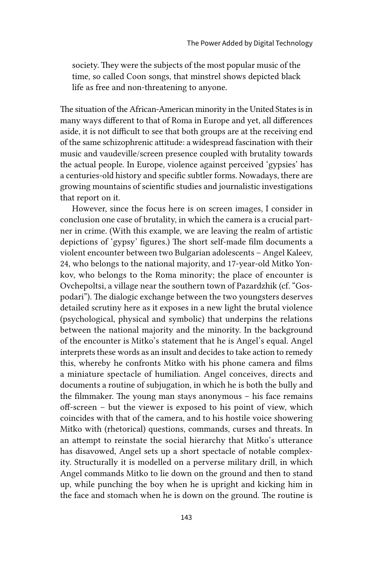society. They were the subjects of the most popular music of the time, so called Coon songs, that minstrel shows depicted black life as free and non-threatening to anyone.

The situation of the African-American minority in the United States is in many ways different to that of Roma in Europe and yet, all differences aside, it is not difficult to see that both groups are at the receiving end of the same schizophrenic attitude: a widespread fascination with their music and vaudeville/screen presence coupled with brutality towards the actual people. In Europe, violence against perceived 'gypsies' has a centuries-old history and specific subtler forms. Nowadays, there are growing mountains of scientific studies and journalistic investigations that report on it.

However, since the focus here is on screen images, I consider in conclusion one case of brutality, in which the camera is a crucial partner in crime. (With this example, we are leaving the realm of artistic depictions of 'gypsy' figures.) The short self-made film documents a violent encounter between two Bulgarian adolescents – Angel Kaleev, 24, who belongs to the national majority, and 17-year-old Mitko Yonkov, who belongs to the Roma minority; the place of encounter is Ovchepoltsi, a village near the southern town of Pazardzhik (cf. "Gospodari"). The dialogic exchange between the two youngsters deserves detailed scrutiny here as it exposes in a new light the brutal violence (psychological, physical and symbolic) that underpins the relations between the national majority and the minority. In the background of the encounter is Mitko's statement that he is Angel's equal. Angel interprets these words as an insult and decides to take action to remedy this, whereby he confronts Mitko with his phone camera and films a miniature spectacle of humiliation. Angel conceives, directs and documents a routine of subjugation, in which he is both the bully and the filmmaker. The young man stays anonymous – his face remains off-screen – but the viewer is exposed to his point of view, which coincides with that of the camera, and to his hostile voice showering Mitko with (rhetorical) questions, commands, curses and threats. In an attempt to reinstate the social hierarchy that Mitko's utterance has disavowed, Angel sets up a short spectacle of notable complexity. Structurally it is modelled on a perverse military drill, in which Angel commands Mitko to lie down on the ground and then to stand up, while punching the boy when he is upright and kicking him in the face and stomach when he is down on the ground. The routine is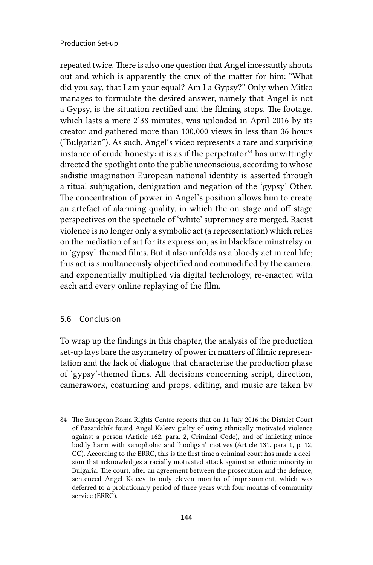repeated twice. There is also one question that Angel incessantly shouts out and which is apparently the crux of the matter for him: "What did you say, that I am your equal? Am I a Gypsy?" Only when Mitko manages to formulate the desired answer, namely that Angel is not a Gypsy, is the situation rectified and the filming stops. The footage, which lasts a mere 2'38 minutes, was uploaded in April 2016 by its creator and gathered more than 100,000 views in less than 36 hours ("Bulgarian"). As such, Angel's video represents a rare and surprising instance of crude honesty: it is as if the perpetrator<sup>84</sup> has unwittingly directed the spotlight onto the public unconscious, according to whose sadistic imagination European national identity is asserted through a ritual subjugation, denigration and negation of the 'gypsy' Other. The concentration of power in Angel's position allows him to create an artefact of alarming quality, in which the on-stage and off-stage perspectives on the spectacle of 'white' supremacy are merged. Racist violence is no longer only a symbolic act (a representation) which relies on the mediation of art for its expression, as in blackface minstrelsy or in 'gypsy'-themed films. But it also unfolds as a bloody act in real life; this act is simultaneously objectified and commodified by the camera, and exponentially multiplied via digital technology, re-enacted with each and every online replaying of the film.

## 5.6 Conclusion

To wrap up the findings in this chapter, the analysis of the production set-up lays bare the asymmetry of power in matters of filmic representation and the lack of dialogue that characterise the production phase of 'gypsy'-themed films. All decisions concerning script, direction, camerawork, costuming and props, editing, and music are taken by

<sup>84</sup> The European Roma Rights Centre reports that on 11 July 2016 the District Court of Pazardzhik found Angel Kaleev guilty of using ethnically motivated violence against a person (Article 162. para. 2, Criminal Code), and of inflicting minor bodily harm with xenophobic and 'hooligan' motives (Article 131. para 1, p. 12, CC). According to the ERRC, this is the first time a criminal court has made a decision that acknowledges a racially motivated attack against an ethnic minority in Bulgaria. The court, after an agreement between the prosecution and the defence, sentenced Angel Kaleev to only eleven months of imprisonment, which was deferred to a probationary period of three years with four months of community service (ERRC).